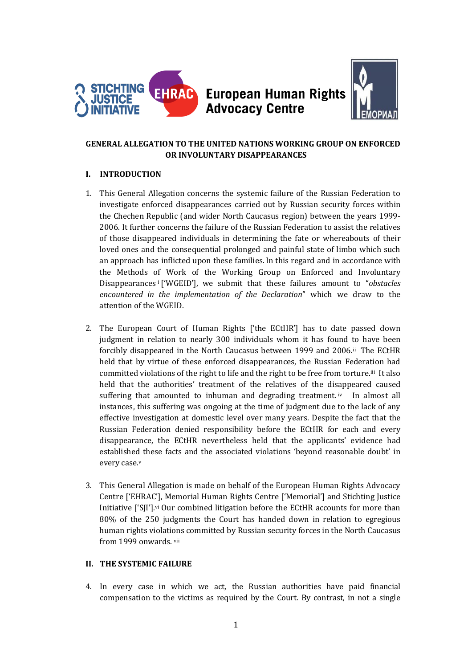

## **European Human Rights Advocacy Centre**



## **GENERAL ALLEGATION TO THE UNITED NATIONS WORKING GROUP ON ENFORCED OR INVOLUNTARY DISAPPEARANCES**

## **I. INTRODUCTION**

- 1. This General Allegation concerns the systemic failure of the Russian Federation to investigate enforced disappearances carried out by Russian security forces within the Chechen Republic (and wider North Caucasus region) between the years 1999- 2006. It further concerns the failure of the Russian Federation to assist the relatives of those disappeared individuals in determining the fate or whereabouts of their loved ones and the consequential prolonged and painful state of limbo which such an approach has inflicted upon these families.In this regard and in accordance with the Methods of Work of the Working Group on Enforced and Involuntary Disappearances <sup>i</sup> ['WGEID'], we submit that these failures amount to "*obstacles encountered in the implementation of the Declaration*" which we draw to the attention of the WGEID.
- 2. The European Court of Human Rights ['the ECtHR'] has to date passed down judgment in relation to nearly 300 individuals whom it has found to have been forcibly disappeared in the North Caucasus between 1999 and 2006.ii The ECtHR held that by virtue of these enforced disappearances, the Russian Federation had committed violations of the right to life and the right to be free from torture. iii It also held that the authorities' treatment of the relatives of the disappeared caused suffering that amounted to inhuman and degrading treatment. iv In almost all instances, this suffering was ongoing at the time of judgment due to the lack of any effective investigation at domestic level over many years. Despite the fact that the Russian Federation denied responsibility before the ECtHR for each and every disappearance, the ECtHR nevertheless held that the applicants' evidence had established these facts and the associated violations 'beyond reasonable doubt' in every case. v
- 3. This General Allegation is made on behalf of the European Human Rights Advocacy Centre ['EHRAC'], Memorial Human Rights Centre ['Memorial'] and Stichting Justice Initiative ['SJI'].<sup>vi</sup> Our combined litigation before the ECtHR accounts for more than 80% of the 250 judgments the Court has handed down in relation to egregious human rights violations committed by Russian security forces in the North Caucasus from 1999 onwards. vii

## **II. THE SYSTEMIC FAILURE**

4. In every case in which we act, the Russian authorities have paid financial compensation to the victims as required by the Court. By contrast, in not a single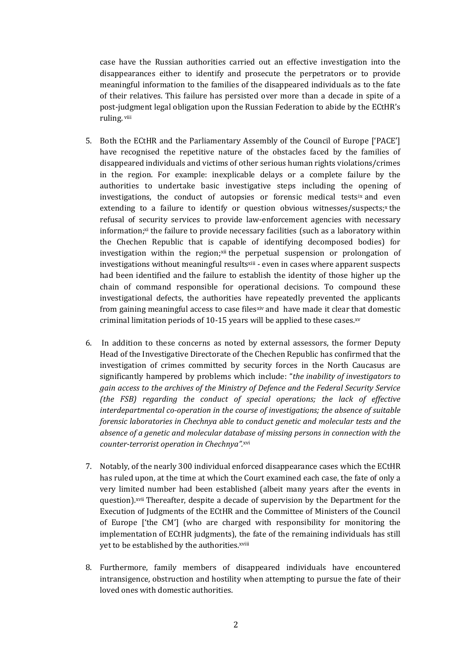case have the Russian authorities carried out an effective investigation into the disappearances either to identify and prosecute the perpetrators or to provide meaningful information to the families of the disappeared individuals as to the fate of their relatives. This failure has persisted over more than a decade in spite of a post-judgment legal obligation upon the Russian Federation to abide by the ECtHR's ruling. <sup>viii</sup>

- 5. Both the ECtHR and the Parliamentary Assembly of the Council of Europe ['PACE'] have recognised the repetitive nature of the obstacles faced by the families of disappeared individuals and victims of other serious human rights violations/crimes in the region. For example: inexplicable delays or a complete failure by the authorities to undertake basic investigative steps including the opening of investigations, the conduct of autopsies or forensic medical tests<sup>ix</sup> and even extending to a failure to identify or question obvious witnesses/suspects;<sup>x</sup> the refusal of security services to provide law-enforcement agencies with necessary information; $x<sup>i</sup>$  the failure to provide necessary facilities (such as a laboratory within the Chechen Republic that is capable of identifying decomposed bodies) for investigation within the region;<sup>xii</sup> the perpetual suspension or prolongation of investigations without meaningful results<sup>xiii</sup> - even in cases where apparent suspects had been identified and the failure to establish the identity of those higher up the chain of command responsible for operational decisions. To compound these investigational defects, the authorities have repeatedly prevented the applicants from gaining meaningful access to case filesxiv and have made it clear that domestic criminal limitation periods of 10-15 years will be applied to these cases. $xv$
- 6. In addition to these concerns as noted by external assessors, the former Deputy Head of the Investigative Directorate of the Chechen Republic has confirmed that the investigation of crimes committed by security forces in the North Caucasus are significantly hampered by problems which include: "*the inability of investigators to gain access to the archives of the Ministry of Defence and the Federal Security Service (the FSB) regarding the conduct of special operations; the lack of effective interdepartmental co-operation in the course of investigations; the absence of suitable forensic laboratories in Chechnya able to conduct genetic and molecular tests and the absence of a genetic and molecular database of missing persons in connection with the counter-terrorist operation in Chechnya".*xvi
- 7. Notably, of the nearly 300 individual enforced disappearance cases which the ECtHR has ruled upon, at the time at which the Court examined each case, the fate of only a very limited number had been established (albeit many years after the events in question). xvii Thereafter, despite a decade of supervision by the Department for the Execution of Judgments of the ECtHR and the Committee of Ministers of the Council of Europe ['the CM'] (who are charged with responsibility for monitoring the implementation of ECtHR judgments), the fate of the remaining individuals has still yet to be established by the authorities.xviii
- 8. Furthermore, family members of disappeared individuals have encountered intransigence, obstruction and hostility when attempting to pursue the fate of their loved ones with domestic authorities.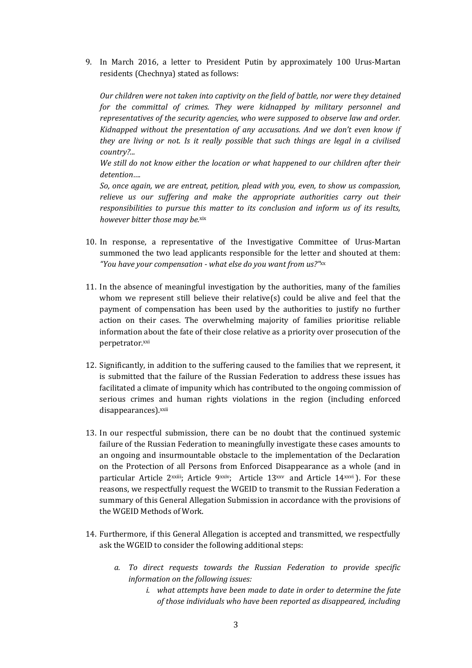9. In March 2016, a letter to President Putin by approximately 100 Urus-Martan residents (Chechnya) stated as follows:

*Our children were not taken into captivity on the field of battle, nor were they detained for the committal of crimes. They were kidnapped by military personnel and representatives of the security agencies, who were supposed to observe law and order. Kidnapped without the presentation of any accusations. And we don't even know if they are living or not. Is it really possible that such things are legal in a civilised country?...* 

*We still do not know either the location or what happened to our children after their detention….*

*So, once again, we are entreat, petition, plead with you, even, to show us compassion, relieve us our suffering and make the appropriate authorities carry out their responsibilities to pursue this matter to its conclusion and inform us of its results, however bitter those may be.*xix

- 10. In response, a representative of the Investigative Committee of Urus-Martan summoned the two lead applicants responsible for the letter and shouted at them: *"You have your compensation - what else do you want from us?"*xx
- 11. In the absence of meaningful investigation by the authorities, many of the families whom we represent still believe their relative(s) could be alive and feel that the payment of compensation has been used by the authorities to justify no further action on their cases. The overwhelming majority of families prioritise reliable information about the fate of their close relative as a priority over prosecution of the perpetrator.xxi
- 12. Significantly, in addition to the suffering caused to the families that we represent, it is submitted that the failure of the Russian Federation to address these issues has facilitated a climate of impunity which has contributed to the ongoing commission of serious crimes and human rights violations in the region (including enforced disappearances) xxii
- 13. In our respectful submission, there can be no doubt that the continued systemic failure of the Russian Federation to meaningfully investigate these cases amounts to an ongoing and insurmountable obstacle to the implementation of the Declaration on the Protection of all Persons from Enforced Disappearance as a whole (and in particular Article 2xxiii; Article 9xxiv; Article 13xxv and Article 14xxvi). For these reasons, we respectfully request the WGEID to transmit to the Russian Federation a summary of this General Allegation Submission in accordance with the provisions of the WGEID Methods of Work.
- 14. Furthermore, if this General Allegation is accepted and transmitted, we respectfully ask the WGEID to consider the following additional steps:
	- *a. To direct requests towards the Russian Federation to provide specific information on the following issues:*
		- *i. what attempts have been made to date in order to determine the fate of those individuals who have been reported as disappeared, including*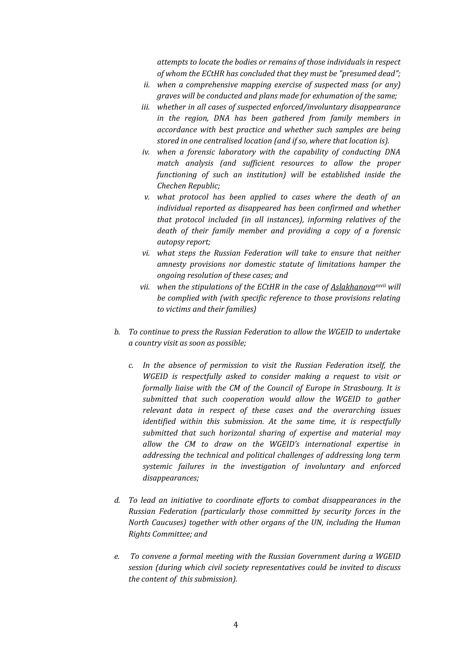*attempts to locate the bodies or remains of those individuals in respect of whom the ECtHR has concluded that they must be "presumed dead";*

- *ii. when a comprehensive mapping exercise of suspected mass (or any) graves will be conducted and plans made for exhumation of the same;*
- *iii. whether in all cases of suspected enforced/involuntary disappearance in the region, DNA has been gathered from family members in accordance with best practice and whether such samples are being stored in one centralised location (and if so, where that location is).*
- *iv. when a forensic laboratory with the capability of conducting DNA match analysis (and sufficient resources to allow the proper functioning of such an institution) will be established inside the Chechen Republic;*
- *v. what protocol has been applied to cases where the death of an individual reported as disappeared has been confirmed and whether that protocol included (in all instances), informing relatives of the death of their family member and providing a copy of a forensic autopsy report;*
- *vi. what steps the Russian Federation will take to ensure that neither amnesty provisions nor domestic statute of limitations hamper the ongoing resolution of these cases; and*
- *vii. when the stipulations of the ECtHR in the case of Aslakhanovaxxvii will be complied with (with specific reference to those provisions relating to victims and their families)*
- *b. To continue to press the Russian Federation to allow the WGEID to undertake a country visit as soon as possible;*
	- *c. In the absence of permission to visit the Russian Federation itself, the WGEID is respectfully asked to consider making a request to visit or formally liaise with the CM of the Council of Europe in Strasbourg. It is submitted that such cooperation would allow the WGEID to gather relevant data in respect of these cases and the overarching issues identified within this submission. At the same time, it is respectfully submitted that such horizontal sharing of expertise and material may allow the CM to draw on the WGEID's international expertise in addressing the technical and political challenges of addressing long term systemic failures in the investigation of involuntary and enforced disappearances;*
- *d. To lead an initiative to coordinate efforts to combat disappearances in the Russian Federation (particularly those committed by security forces in the North Caucuses) together with other organs of the UN, including the Human Rights Committee; and*
- *e. To convene a formal meeting with the Russian Government during a WGEID session (during which civil society representatives could be invited to discuss the content of this submission).*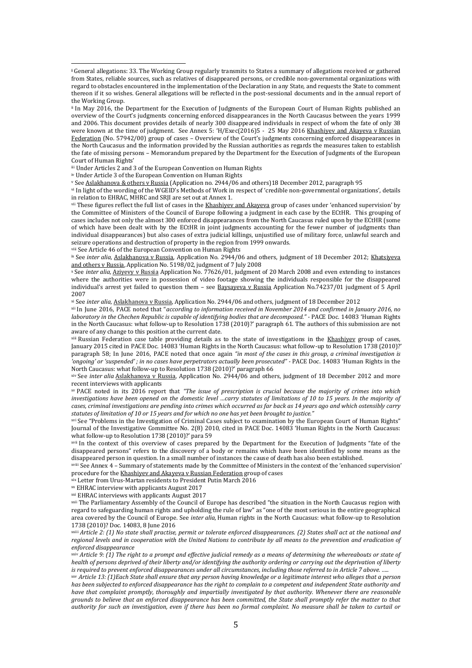iii Under Articles 2 and 3 of the European Convention on Human Rights

iv Under Article 3 of the European Convention on Human Rights

 $\overline{a}$ 

<sup>v</sup> See Aslakhanova & others v Russia (Application no. 2944/06 and others)18 December 2012, paragraph 95

vi In light of the wording of the WGEID's Methods of Work in respect of 'credible non-governmental organizations', details in relation to EHRAC, MHRC and SRJI are set out at Annex 1.

vii These figures reflect the full list of cases in the Khashiyev and Akayeva group of cases under 'enhanced supervision' by the Committee of Ministers of the Council of Europe following a judgment in each case by the ECtHR. This grouping of cases includes not only the almost 300 enforced disappearances from the North Caucasus ruled upon by the ECtHR (some of which have been dealt with by the ECtHR in joint judgments accounting for the fewer number of judgments than individual disappearances) but also cases of extra judicial killings, unjustified use of military force, unlawful search and seizure operations and destruction of property in the region from 1999 onwards.

viii See Article 46 of the European Convention on Human Rights

<sup>ix</sup> See *inter alia*, Aslakhanova v Russia, Application No. 2944/06 and others, judgment of 18 December 2012; Khatsiyeva and others v Russia, Application No. 5198/02, judgment of 7 July 2008

<sup>x</sup> See *inter alia,* Aziyevy v Russia Application No. 77626/01, judgment of 20 March 2008 and even extending to instances where the authorities were in possession of video footage showing the individuals responsible for the disappeared individual's arrest yet failed to question them - see Baysayeva v Russia Application No.74237/01 judgment of 5 April 2007

xi See *inter alia,* Aslakhanova v Russia, Application No. 2944/06 and others, judgment of 18 December 2012

xii In June 2016, PACE noted that "*according to information received in November 2014 and confirmed in January 2016, no laboratory in the Chechen Republic is capable of identifying bodies that are decomposed." - PACE Doc. 14083 'Human Rights* in the North Caucasus: what follow-up to Resolution 1738 (2010)?' paragraph 61. The authors of this submission are not aware of any change to this position at the current date.

xiii Russian Federation case table providing details as to the state of investigations in the Khashiyev group of cases, January 2015 cited in PACE Doc. 14083 'Human Rights in the North Caucasus: what follow-up to Resolution 1738 (2010)?' paragraph 58; In June 2016, PACE noted that once again *"in most of the cases in this group, a criminal investigation is 'ongoing' or 'suspended' ; in no cases have perpetrators actually been prosecuted" -* PACE Doc. 14083 'Human Rights in the North Caucasus: what follow-up to Resolution 1738 (2010)?' paragraph 66

xiv See *inter alia* Aslakhanova v Russia, Application No. 2944/06 and others, judgment of 18 December 2012 and more recent interviews with applicants

xv PACE noted in its 2016 report that *"The issue of prescription is crucial because the majority of crimes into which investigations have been opened on the domestic level …carry statutes of limitations of 10 to 15 years. In the majority of cases, criminal investigations are pending into crimes which occurred as far back as 14 years ago and which ostensibly carry statutes of limitation of 10 or 15 years and for which no one has yet been brought to justice."*

xvi See "Problems in the Investigation of Criminal Cases subject to examination by the European Court of Human Rights" Journal of the Investigative Committee No. 2(8) 2010, cited in PACE Doc. 14083 'Human Rights in the North Caucasus: what follow-up to Resolution 1738 (2010)?' para 59

xvii In the context of this overview of cases prepared by the Department for the Execution of Judgments "fate of the disappeared persons" refers to the discovery of a body or remains which have been identified by some means as the disappeared person in question. In a small number of instances the cause of death has also been established.

xviii See Annex 4 – Summary of statements made by the Committee of Ministers in the context of the 'enhanced supervision' procedure for the Khashiyev and Akayeva v Russian Federation group of cases

xix Letter from Urus-Martan residents to President Putin March 2016

xx EHRAC interview with applicants August 2017

xxi EHRAC interviews with applicants August 2017

xxii The Parliamentary Assembly of the Council of Europe has described "the situation in the North Caucasus region with regard to safeguarding human rights and upholding the rule of law" as "one of the most serious in the entire geographical area covered by the Council of Europe. See *inter alia,* Human rights in the North Caucasus: what follow-up to Resolution 1738 (2010)? Doc. 14083, 8 June 2016

xxiii *Article 2: (1) No state shall practise, permit or tolerate enforced disappearances. (2) States shall act at the national and regional levels and in cooperation with the United Nations to contribute by all means to the prevention and eradication of enforced disappearance* 

xxiv *Article 9: (1) The right to a prompt and effective judicial remedy as a means of determining the whereabouts or state of health of persons deprived of their liberty and/or identifying the authority ordering or carrying out the deprivation of liberty is required to prevent enforced disappearances under all circumstances, including those referred to in Article 7 above. …..*

xxv *Article 13: (1)Each State shall ensure that any person having knowledge or a legitimate interest who alleges that a person has been subjected to enforced disappearance has the right to complain to a competent and independent State authority and have that complaint promptly, thoroughly and impartially investigated by that authority. Whenever there are reasonable grounds to believe that an enforced disappearance has been committed, the State shall promptly refer the matter to that authority for such an investigation, even if there has been no formal complaint. No measure shall be taken to curtail or* 

**<sup>i</sup>** General allegations: 33. The Working Group regularly transmits to States a summary of allegations received or gathered from States, reliable sources, such as relatives of disappeared persons, or credible non-governmental organizations with regard to obstacles encountered in the implementation of the Declaration in any State, and requests the State to comment thereon if it so wishes. General allegations will be reflected in the post-sessional documents and in the annual report of the Working Group.

ii In May 2016, the Department for the Execution of Judgments of the European Court of Human Rights published an overview of the Court's judgments concerning enforced disappearances in the North Caucasus between the years 1999 and 2006. This document provides details of nearly 300 disappeared individuals in respect of whom the fate of only 38 were known at the time of judgment. See Annex 5: 'H/Exec(2016)5 - 25 May 2016 Khashiyev and Akayeva v Russian Federation (No. 57942/00) group of cases – Overview of the Court's judgments concerning enforced disappearances in the North Caucasus and the information provided by the Russian authorities as regards the measures taken to establish the fate of missing persons – Memorandum prepared by the Department for the Execution of Judgments of the European Court of Human Rights'